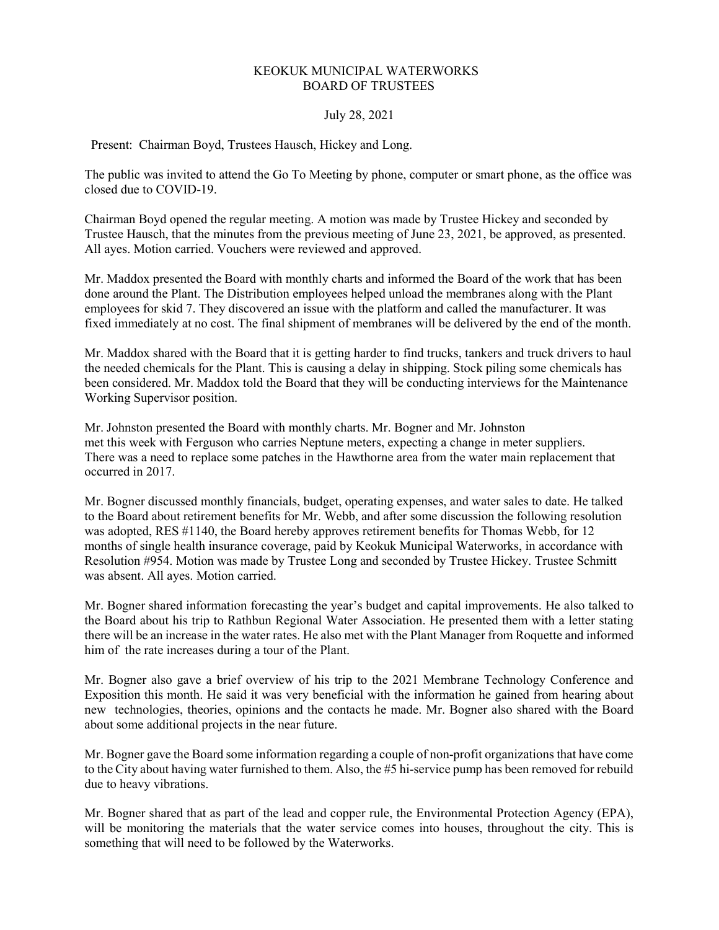## KEOKUK MUNICIPAL WATERWORKS BOARD OF TRUSTEES

## July 28, 2021

Present: Chairman Boyd, Trustees Hausch, Hickey and Long.

The public was invited to attend the Go To Meeting by phone, computer or smart phone, as the office was closed due to COVID-19.

Chairman Boyd opened the regular meeting. A motion was made by Trustee Hickey and seconded by Trustee Hausch, that the minutes from the previous meeting of June 23, 2021, be approved, as presented. All ayes. Motion carried. Vouchers were reviewed and approved.

Mr. Maddox presented the Board with monthly charts and informed the Board of the work that has been done around the Plant. The Distribution employees helped unload the membranes along with the Plant employees for skid 7. They discovered an issue with the platform and called the manufacturer. It was fixed immediately at no cost. The final shipment of membranes will be delivered by the end of the month.

Mr. Maddox shared with the Board that it is getting harder to find trucks, tankers and truck drivers to haul the needed chemicals for the Plant. This is causing a delay in shipping. Stock piling some chemicals has been considered. Mr. Maddox told the Board that they will be conducting interviews for the Maintenance Working Supervisor position.

Mr. Johnston presented the Board with monthly charts. Mr. Bogner and Mr. Johnston met this week with Ferguson who carries Neptune meters, expecting a change in meter suppliers. There was a need to replace some patches in the Hawthorne area from the water main replacement that occurred in 2017.

Mr. Bogner discussed monthly financials, budget, operating expenses, and water sales to date. He talked to the Board about retirement benefits for Mr. Webb, and after some discussion the following resolution was adopted, RES #1140, the Board hereby approves retirement benefits for Thomas Webb, for 12 months of single health insurance coverage, paid by Keokuk Municipal Waterworks, in accordance with Resolution #954. Motion was made by Trustee Long and seconded by Trustee Hickey. Trustee Schmitt was absent. All ayes. Motion carried.

Mr. Bogner shared information forecasting the year's budget and capital improvements. He also talked to the Board about his trip to Rathbun Regional Water Association. He presented them with a letter stating there will be an increase in the water rates. He also met with the Plant Manager from Roquette and informed him of the rate increases during a tour of the Plant.

Mr. Bogner also gave a brief overview of his trip to the 2021 Membrane Technology Conference and Exposition this month. He said it was very beneficial with the information he gained from hearing about new technologies, theories, opinions and the contacts he made. Mr. Bogner also shared with the Board about some additional projects in the near future.

Mr. Bogner gave the Board some information regarding a couple of non-profit organizations that have come to the City about having water furnished to them. Also, the #5 hi-service pump has been removed for rebuild due to heavy vibrations.

Mr. Bogner shared that as part of the lead and copper rule, the Environmental Protection Agency (EPA), will be monitoring the materials that the water service comes into houses, throughout the city. This is something that will need to be followed by the Waterworks.